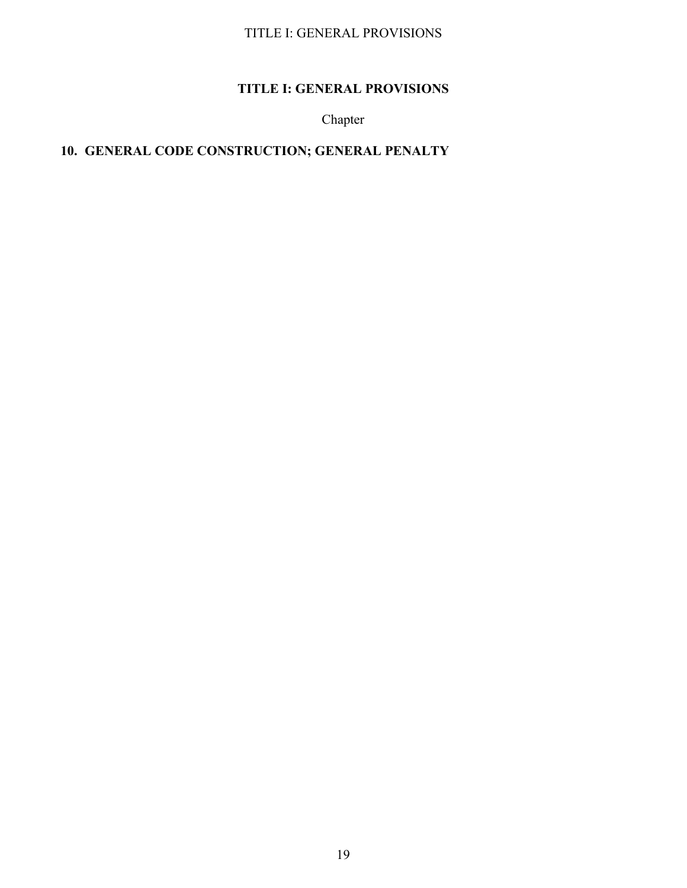# **TITLE I: GENERAL PROVISIONS**

Chapter

# **10. GENERAL CODE CONSTRUCTION; GENERAL PENALTY**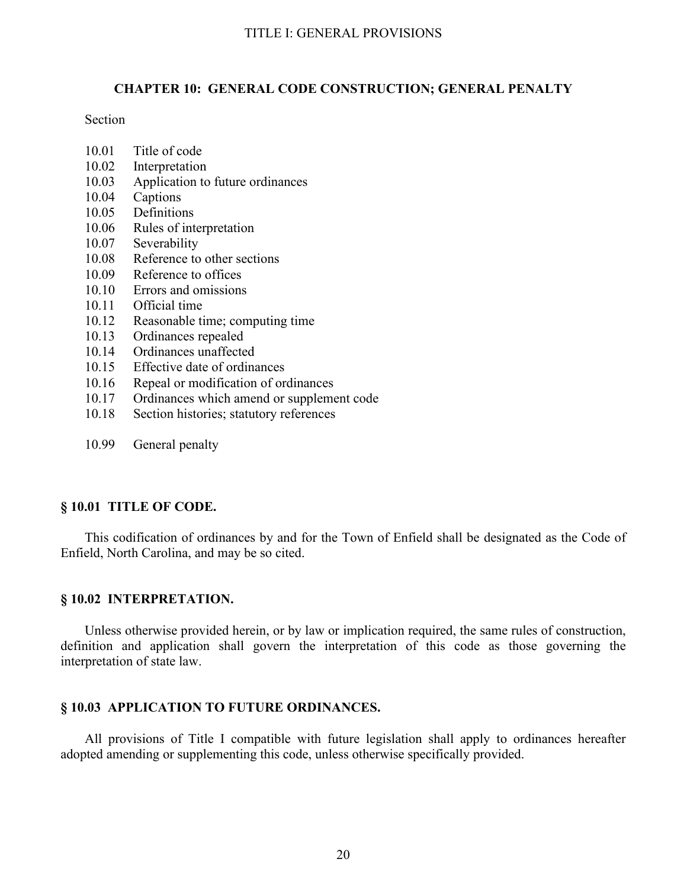# **CHAPTER 10: GENERAL CODE CONSTRUCTION; GENERAL PENALTY**

### Section

- 10.01 Title of code
- 10.02 Interpretation
- 10.03 Application to future ordinances
- 10.04 Captions
- 10.05 Definitions
- 10.06 Rules of interpretation
- 10.07 Severability
- 10.08 Reference to other sections
- 10.09 Reference to offices
- 10.10 Errors and omissions
- 10.11 Official time
- 10.12 Reasonable time; computing time
- 10.13 Ordinances repealed
- 10.14 Ordinances unaffected
- 10.15 Effective date of ordinances
- 10.16 Repeal or modification of ordinances
- 10.17 Ordinances which amend or supplement code
- 10.18 Section histories; statutory references
- 10.99 General penalty

# **§ 10.01 TITLE OF CODE.**

This codification of ordinances by and for the Town of Enfield shall be designated as the Code of Enfield, North Carolina, and may be so cited.

# **§ 10.02 INTERPRETATION.**

Unless otherwise provided herein, or by law or implication required, the same rules of construction, definition and application shall govern the interpretation of this code as those governing the interpretation of state law.

# **§ 10.03 APPLICATION TO FUTURE ORDINANCES.**

All provisions of Title I compatible with future legislation shall apply to ordinances hereafter adopted amending or supplementing this code, unless otherwise specifically provided.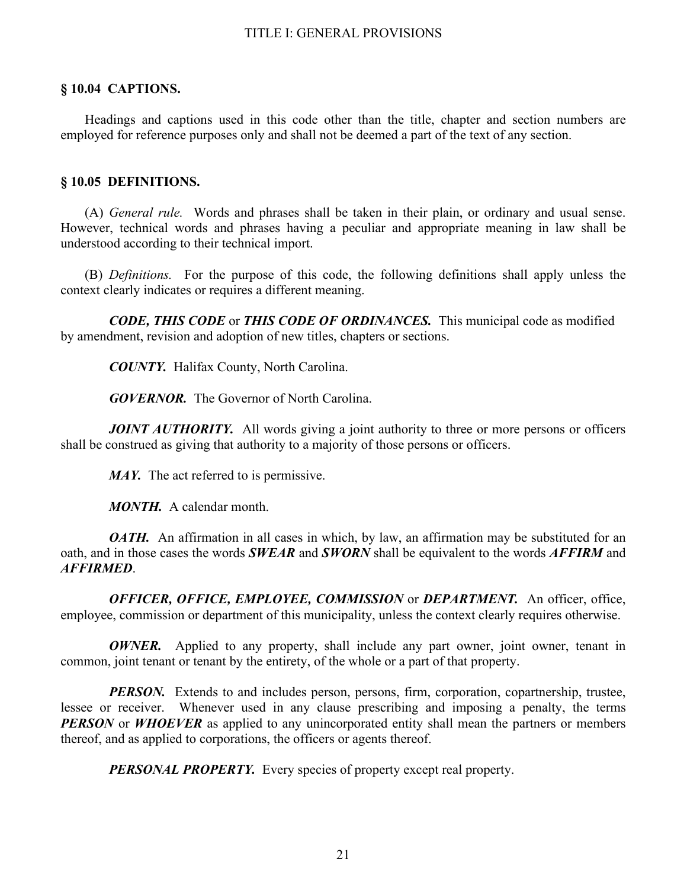# **§ 10.04 CAPTIONS.**

Headings and captions used in this code other than the title, chapter and section numbers are employed for reference purposes only and shall not be deemed a part of the text of any section.

# **§ 10.05 DEFINITIONS.**

(A) *General rule.* Words and phrases shall be taken in their plain, or ordinary and usual sense. However, technical words and phrases having a peculiar and appropriate meaning in law shall be understood according to their technical import.

(B) *Definitions.* For the purpose of this code, the following definitions shall apply unless the context clearly indicates or requires a different meaning.

 *CODE, THIS CODE* or *THIS CODE OF ORDINANCES.* This municipal code as modified by amendment, revision and adoption of new titles, chapters or sections.

*COUNTY.* Halifax County, North Carolina.

*GOVERNOR.* The Governor of North Carolina.

*JOINT AUTHORITY.* All words giving a joint authority to three or more persons or officers shall be construed as giving that authority to a majority of those persons or officers.

*MAY.* The act referred to is permissive.

*MONTH.* A calendar month.

*OATH*. An affirmation in all cases in which, by law, an affirmation may be substituted for an oath, and in those cases the words *SWEAR* and *SWORN* shall be equivalent to the words *AFFIRM* and *AFFIRMED*.

 *OFFICER, OFFICE, EMPLOYEE, COMMISSION* or *DEPARTMENT.* An officer, office, employee, commission or department of this municipality, unless the context clearly requires otherwise.

*OWNER*. Applied to any property, shall include any part owner, joint owner, tenant in common, joint tenant or tenant by the entirety, of the whole or a part of that property.

**PERSON.** Extends to and includes person, persons, firm, corporation, copartnership, trustee, lessee or receiver. Whenever used in any clause prescribing and imposing a penalty, the terms *PERSON* or *WHOEVER* as applied to any unincorporated entity shall mean the partners or members thereof, and as applied to corporations, the officers or agents thereof.

*PERSONAL PROPERTY.* Every species of property except real property.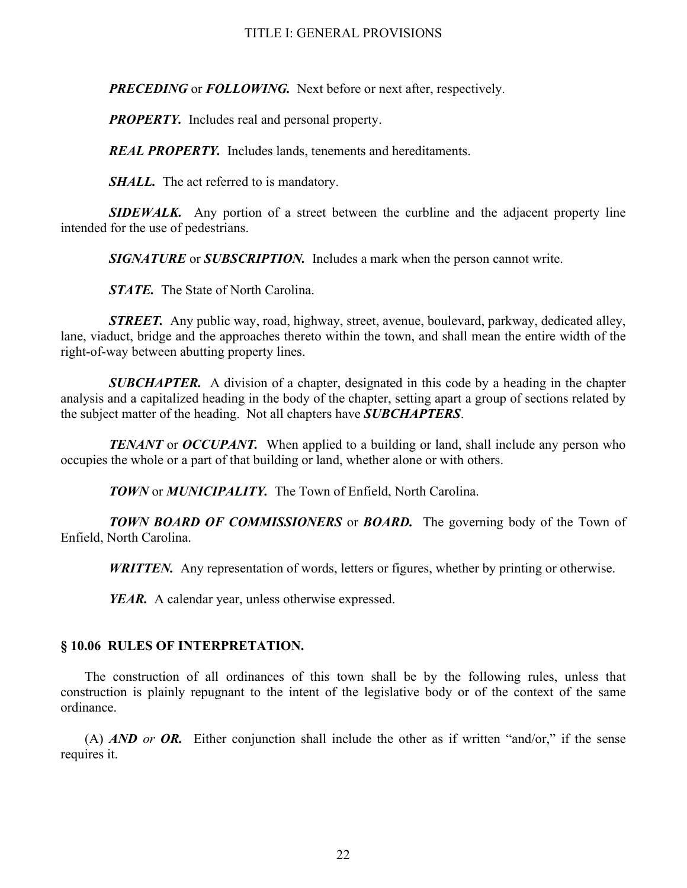*PRECEDING* or *FOLLOWING.* Next before or next after, respectively.

*PROPERTY.* Includes real and personal property.

*REAL PROPERTY.* Includes lands, tenements and hereditaments.

*SHALL.* The act referred to is mandatory.

 *SIDEWALK.* Any portion of a street between the curbline and the adjacent property line intended for the use of pedestrians.

*SIGNATURE* or *SUBSCRIPTION.* Includes a mark when the person cannot write.

*STATE.* The State of North Carolina.

*STREET.* Any public way, road, highway, street, avenue, boulevard, parkway, dedicated alley, lane, viaduct, bridge and the approaches thereto within the town, and shall mean the entire width of the right-of-way between abutting property lines.

 *SUBCHAPTER.* A division of a chapter, designated in this code by a heading in the chapter analysis and a capitalized heading in the body of the chapter, setting apart a group of sections related by the subject matter of the heading. Not all chapters have *SUBCHAPTERS*.

*TENANT* or *OCCUPANT*. When applied to a building or land, shall include any person who occupies the whole or a part of that building or land, whether alone or with others.

*TOWN* or *MUNICIPALITY.* The Town of Enfield, North Carolina.

 *TOWN BOARD OF COMMISSIONERS* or *BOARD.* The governing body of the Town of Enfield, North Carolina.

*WRITTEN.* Any representation of words, letters or figures, whether by printing or otherwise.

*YEAR.* A calendar year, unless otherwise expressed.

# **§ 10.06 RULES OF INTERPRETATION.**

The construction of all ordinances of this town shall be by the following rules, unless that construction is plainly repugnant to the intent of the legislative body or of the context of the same ordinance.

(A) *AND or OR.* Either conjunction shall include the other as if written "and/or," if the sense requires it.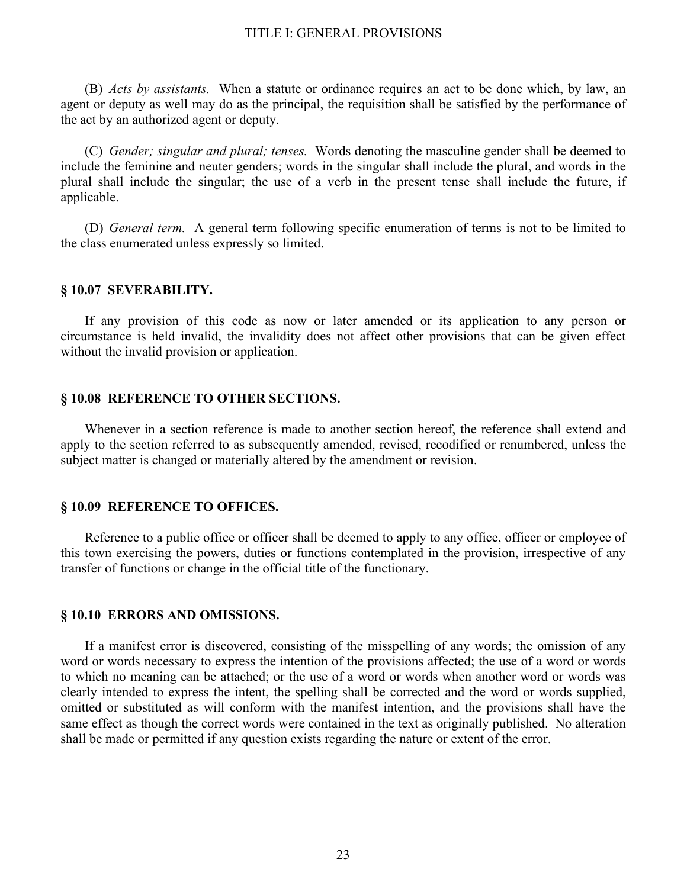(B) *Acts by assistants.* When a statute or ordinance requires an act to be done which, by law, an agent or deputy as well may do as the principal, the requisition shall be satisfied by the performance of the act by an authorized agent or deputy.

(C) *Gender; singular and plural; tenses.* Words denoting the masculine gender shall be deemed to include the feminine and neuter genders; words in the singular shall include the plural, and words in the plural shall include the singular; the use of a verb in the present tense shall include the future, if applicable.

(D) *General term.* A general term following specific enumeration of terms is not to be limited to the class enumerated unless expressly so limited.

## **§ 10.07 SEVERABILITY.**

If any provision of this code as now or later amended or its application to any person or circumstance is held invalid, the invalidity does not affect other provisions that can be given effect without the invalid provision or application.

#### **§ 10.08 REFERENCE TO OTHER SECTIONS.**

Whenever in a section reference is made to another section hereof, the reference shall extend and apply to the section referred to as subsequently amended, revised, recodified or renumbered, unless the subject matter is changed or materially altered by the amendment or revision.

### **§ 10.09 REFERENCE TO OFFICES.**

Reference to a public office or officer shall be deemed to apply to any office, officer or employee of this town exercising the powers, duties or functions contemplated in the provision, irrespective of any transfer of functions or change in the official title of the functionary.

#### **§ 10.10 ERRORS AND OMISSIONS.**

If a manifest error is discovered, consisting of the misspelling of any words; the omission of any word or words necessary to express the intention of the provisions affected; the use of a word or words to which no meaning can be attached; or the use of a word or words when another word or words was clearly intended to express the intent, the spelling shall be corrected and the word or words supplied, omitted or substituted as will conform with the manifest intention, and the provisions shall have the same effect as though the correct words were contained in the text as originally published. No alteration shall be made or permitted if any question exists regarding the nature or extent of the error.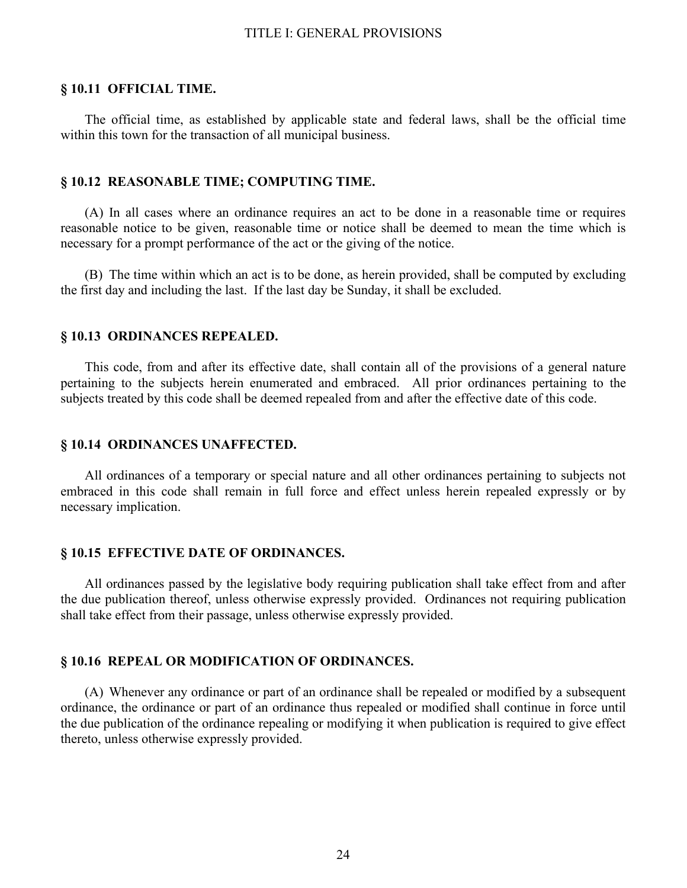### **§ 10.11 OFFICIAL TIME.**

The official time, as established by applicable state and federal laws, shall be the official time within this town for the transaction of all municipal business.

#### **§ 10.12 REASONABLE TIME; COMPUTING TIME.**

(A) In all cases where an ordinance requires an act to be done in a reasonable time or requires reasonable notice to be given, reasonable time or notice shall be deemed to mean the time which is necessary for a prompt performance of the act or the giving of the notice.

(B) The time within which an act is to be done, as herein provided, shall be computed by excluding the first day and including the last. If the last day be Sunday, it shall be excluded.

#### **§ 10.13 ORDINANCES REPEALED.**

This code, from and after its effective date, shall contain all of the provisions of a general nature pertaining to the subjects herein enumerated and embraced. All prior ordinances pertaining to the subjects treated by this code shall be deemed repealed from and after the effective date of this code.

### **§ 10.14 ORDINANCES UNAFFECTED.**

All ordinances of a temporary or special nature and all other ordinances pertaining to subjects not embraced in this code shall remain in full force and effect unless herein repealed expressly or by necessary implication.

## **§ 10.15 EFFECTIVE DATE OF ORDINANCES.**

All ordinances passed by the legislative body requiring publication shall take effect from and after the due publication thereof, unless otherwise expressly provided. Ordinances not requiring publication shall take effect from their passage, unless otherwise expressly provided.

## **§ 10.16 REPEAL OR MODIFICATION OF ORDINANCES.**

(A) Whenever any ordinance or part of an ordinance shall be repealed or modified by a subsequent ordinance, the ordinance or part of an ordinance thus repealed or modified shall continue in force until the due publication of the ordinance repealing or modifying it when publication is required to give effect thereto, unless otherwise expressly provided.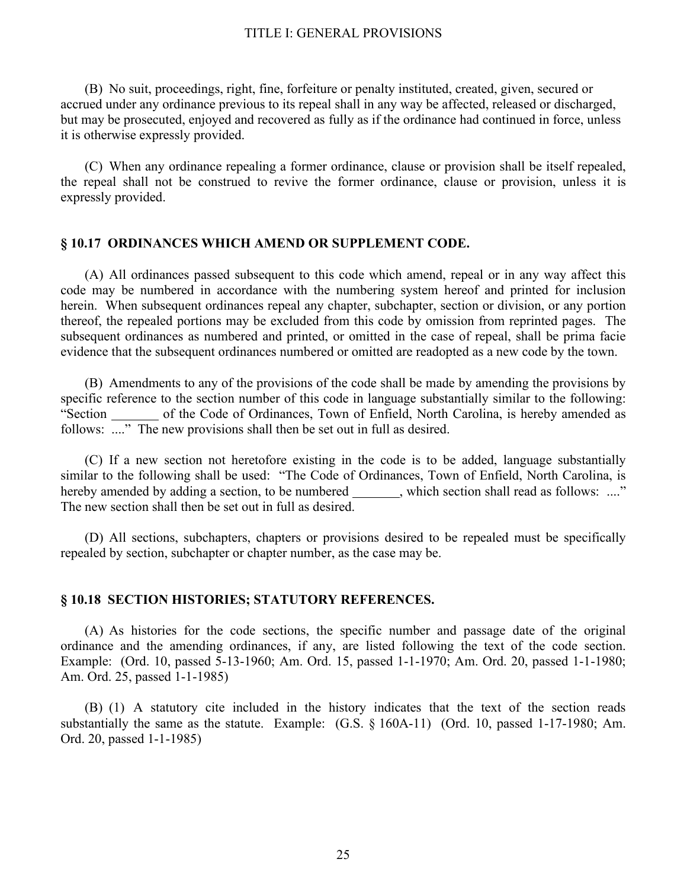(B) No suit, proceedings, right, fine, forfeiture or penalty instituted, created, given, secured or accrued under any ordinance previous to its repeal shall in any way be affected, released or discharged, but may be prosecuted, enjoyed and recovered as fully as if the ordinance had continued in force, unless it is otherwise expressly provided.

(C) When any ordinance repealing a former ordinance, clause or provision shall be itself repealed, the repeal shall not be construed to revive the former ordinance, clause or provision, unless it is expressly provided.

## **§ 10.17 ORDINANCES WHICH AMEND OR SUPPLEMENT CODE.**

(A) All ordinances passed subsequent to this code which amend, repeal or in any way affect this code may be numbered in accordance with the numbering system hereof and printed for inclusion herein. When subsequent ordinances repeal any chapter, subchapter, section or division, or any portion thereof, the repealed portions may be excluded from this code by omission from reprinted pages. The subsequent ordinances as numbered and printed, or omitted in the case of repeal, shall be prima facie evidence that the subsequent ordinances numbered or omitted are readopted as a new code by the town.

(B) Amendments to any of the provisions of the code shall be made by amending the provisions by specific reference to the section number of this code in language substantially similar to the following: "Section of the Code of Ordinances, Town of Enfield, North Carolina, is hereby amended as follows: ...." The new provisions shall then be set out in full as desired.

(C) If a new section not heretofore existing in the code is to be added, language substantially similar to the following shall be used: "The Code of Ordinances, Town of Enfield, North Carolina, is hereby amended by adding a section, to be numbered, which section shall read as follows: ...." The new section shall then be set out in full as desired.

(D) All sections, subchapters, chapters or provisions desired to be repealed must be specifically repealed by section, subchapter or chapter number, as the case may be.

### **§ 10.18 SECTION HISTORIES; STATUTORY REFERENCES.**

(A) As histories for the code sections, the specific number and passage date of the original ordinance and the amending ordinances, if any, are listed following the text of the code section. Example: (Ord. 10, passed 5-13-1960; Am. Ord. 15, passed 1-1-1970; Am. Ord. 20, passed 1-1-1980; Am. Ord. 25, passed 1-1-1985)

(B) (1) A statutory cite included in the history indicates that the text of the section reads substantially the same as the statute. Example: (G.S. § 160A-11) (Ord. 10, passed 1-17-1980; Am. Ord. 20, passed 1-1-1985)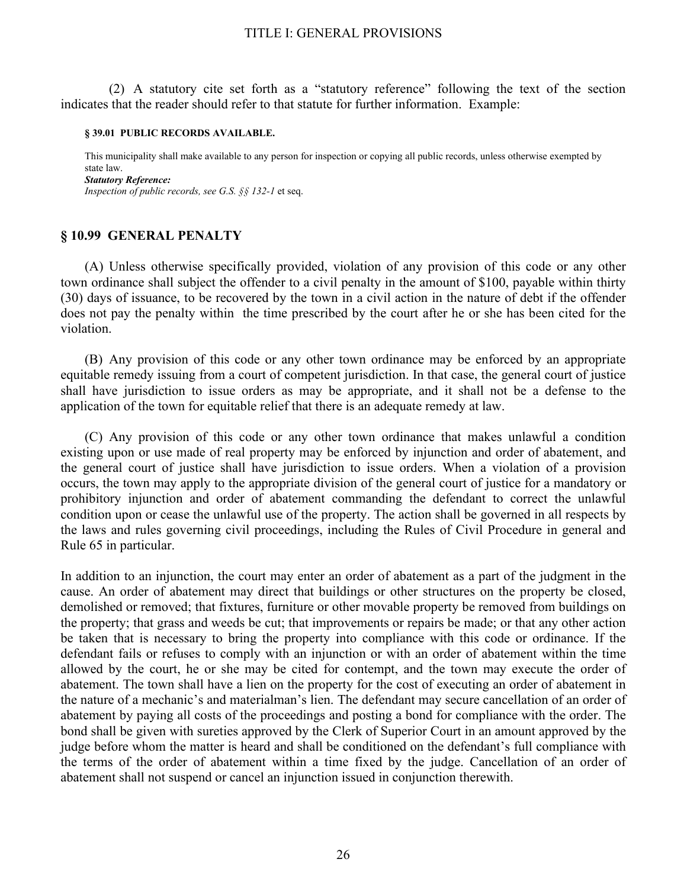(2) A statutory cite set forth as a "statutory reference" following the text of the section indicates that the reader should refer to that statute for further information. Example:

#### **§ 39.01 PUBLIC RECORDS AVAILABLE.**

This municipality shall make available to any person for inspection or copying all public records, unless otherwise exempted by state law. *Statutory Reference: Inspection of public records, see G.S. §§ 132-1* et seq.

# **§ 10.99 GENERAL PENALTY**

 (A) Unless otherwise specifically provided, violation of any provision of this code or any other town ordinance shall subject the offender to a civil penalty in the amount of \$100, payable within thirty (30) days of issuance, to be recovered by the town in a civil action in the nature of debt if the offender does not pay the penalty within the time prescribed by the court after he or she has been cited for the violation.

 (B) Any provision of this code or any other town ordinance may be enforced by an appropriate equitable remedy issuing from a court of competent jurisdiction. In that case, the general court of justice shall have jurisdiction to issue orders as may be appropriate, and it shall not be a defense to the application of the town for equitable relief that there is an adequate remedy at law.

 (C) Any provision of this code or any other town ordinance that makes unlawful a condition existing upon or use made of real property may be enforced by injunction and order of abatement, and the general court of justice shall have jurisdiction to issue orders. When a violation of a provision occurs, the town may apply to the appropriate division of the general court of justice for a mandatory or prohibitory injunction and order of abatement commanding the defendant to correct the unlawful condition upon or cease the unlawful use of the property. The action shall be governed in all respects by the laws and rules governing civil proceedings, including the Rules of Civil Procedure in general and Rule 65 in particular.

In addition to an injunction, the court may enter an order of abatement as a part of the judgment in the cause. An order of abatement may direct that buildings or other structures on the property be closed, demolished or removed; that fixtures, furniture or other movable property be removed from buildings on the property; that grass and weeds be cut; that improvements or repairs be made; or that any other action be taken that is necessary to bring the property into compliance with this code or ordinance. If the defendant fails or refuses to comply with an injunction or with an order of abatement within the time allowed by the court, he or she may be cited for contempt, and the town may execute the order of abatement. The town shall have a lien on the property for the cost of executing an order of abatement in the nature of a mechanic's and materialman's lien. The defendant may secure cancellation of an order of abatement by paying all costs of the proceedings and posting a bond for compliance with the order. The bond shall be given with sureties approved by the Clerk of Superior Court in an amount approved by the judge before whom the matter is heard and shall be conditioned on the defendant's full compliance with the terms of the order of abatement within a time fixed by the judge. Cancellation of an order of abatement shall not suspend or cancel an injunction issued in conjunction therewith.